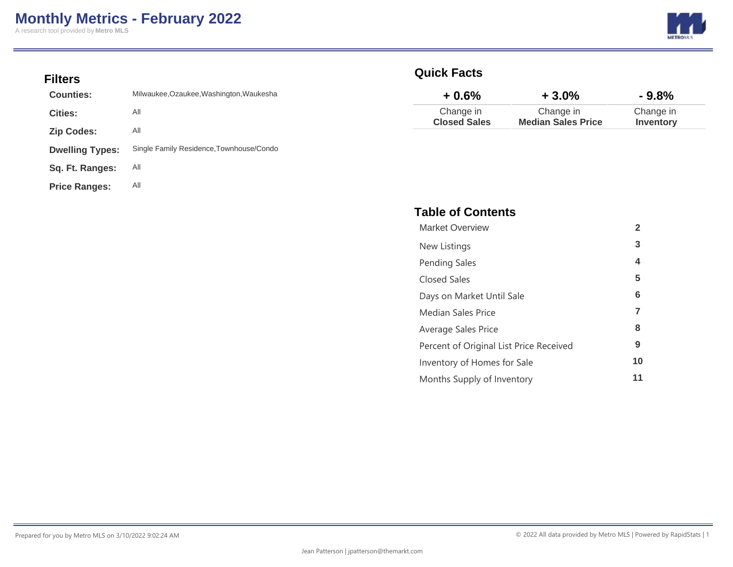A research tool provided by **Metro MLS**



### **Filters**

| Counties:              | Milwaukee, Ozaukee, Washington, Waukesha |
|------------------------|------------------------------------------|
| Cities:                | All                                      |
| <b>Zip Codes:</b>      | All                                      |
| <b>Dwelling Types:</b> | Single Family Residence, Townhouse/Condo |
| Sq. Ft. Ranges:        | All                                      |
| <b>Price Ranges:</b>   | All                                      |

### **Quick Facts**

| $+0.6%$             | $+3.0%$                   | $-9.8%$   |
|---------------------|---------------------------|-----------|
| Change in           | Change in                 | Change in |
| <b>Closed Sales</b> | <b>Median Sales Price</b> | Inventory |

### **Table of Contents**

| <b>Market Overview</b>                  | $\mathbf{2}$ |
|-----------------------------------------|--------------|
| New Listings                            | 3            |
| <b>Pending Sales</b>                    | 4            |
| Closed Sales                            | 5            |
| Days on Market Until Sale               | 6            |
| Median Sales Price                      | 7            |
| Average Sales Price                     | 8            |
| Percent of Original List Price Received | 9            |
| Inventory of Homes for Sale             | 10           |
| Months Supply of Inventory              | 11           |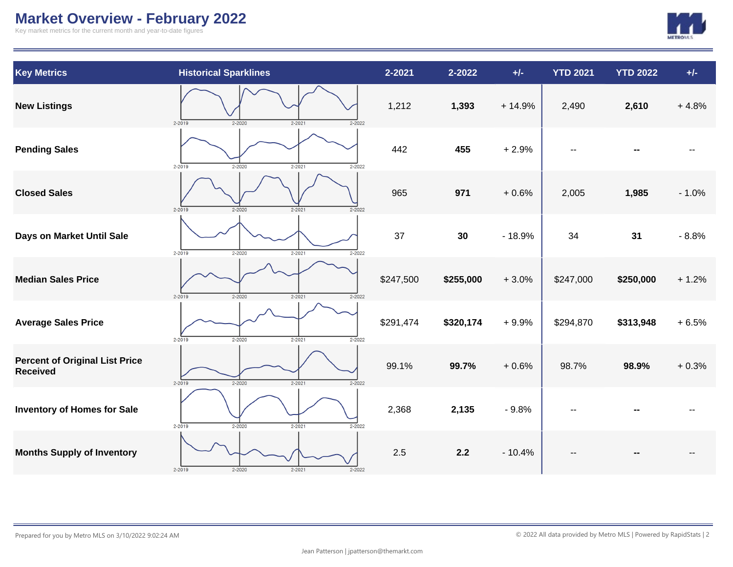# **Market Overview - February 2022**

Key market metrics for the current month and year-to-date figures



| <b>Key Metrics</b>                                       | <b>Historical Sparklines</b>                         | 2-2021    | 2-2022    | $+/-$    | <b>YTD 2021</b> | <b>YTD 2022</b> | $+/-$   |
|----------------------------------------------------------|------------------------------------------------------|-----------|-----------|----------|-----------------|-----------------|---------|
| <b>New Listings</b>                                      | $2 - 2019$<br>$2 - 2020$<br>$2 - 2021$<br>$2 - 2022$ | 1,212     | 1,393     | $+14.9%$ | 2,490           | 2,610           | $+4.8%$ |
| <b>Pending Sales</b>                                     | $2 - 2019$<br>$2 - 2021$<br>$2 - 2020$<br>$2 - 2022$ | 442       | 455       | $+2.9%$  |                 |                 |         |
| <b>Closed Sales</b>                                      | $2 - 2020$<br>$2 - 2021$<br>$2 - 2022$<br>$2 - 2019$ | 965       | 971       | $+0.6%$  | 2,005           | 1,985           | $-1.0%$ |
| Days on Market Until Sale                                | $2 - 2019$<br>$2 - 2020$<br>$2 - 2021$<br>$2 - 2022$ | 37        | 30        | $-18.9%$ | 34              | 31              | $-8.8%$ |
| <b>Median Sales Price</b>                                | $2 - 2019$<br>$2 - 2020$<br>$2 - 2021$<br>$2 - 2022$ | \$247,500 | \$255,000 | $+3.0%$  | \$247,000       | \$250,000       | $+1.2%$ |
| <b>Average Sales Price</b>                               | $2 - 2021$<br>$2 - 2019$<br>$2 - 2020$<br>$2 - 2022$ | \$291,474 | \$320,174 | $+9.9%$  | \$294,870       | \$313,948       | $+6.5%$ |
| <b>Percent of Original List Price</b><br><b>Received</b> | $2 - 2019$<br>$2 - 2020$<br>$2 - 2021$<br>$2 - 2022$ | 99.1%     | 99.7%     | $+0.6%$  | 98.7%           | 98.9%           | $+0.3%$ |
| <b>Inventory of Homes for Sale</b>                       | $2 - 2019$<br>$2 - 2021$<br>$2 - 2020$<br>$2 - 2022$ | 2,368     | 2,135     | $-9.8%$  |                 |                 |         |
| <b>Months Supply of Inventory</b>                        | $2 - 2019$<br>$2 - 2020$<br>$2 - 2021$               | 2.5       | 2.2       | $-10.4%$ |                 |                 |         |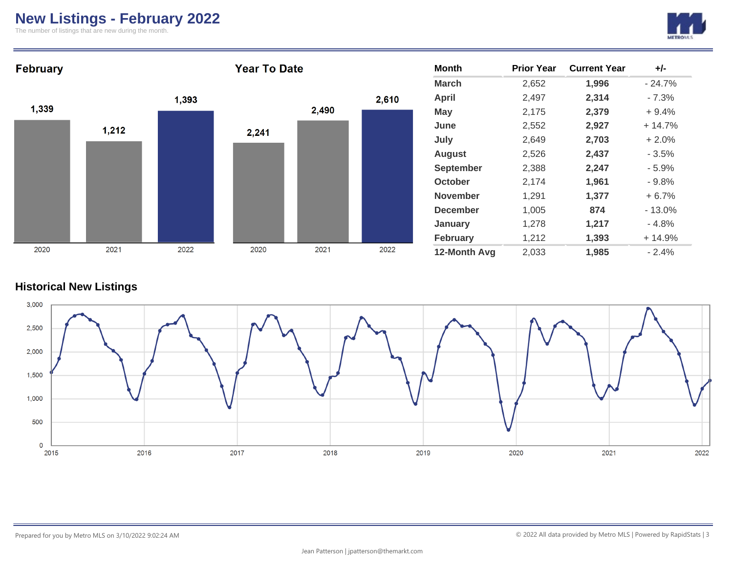# **New Listings - February 2022**

The number of listings that are new during the month.





#### **Historical New Listings**

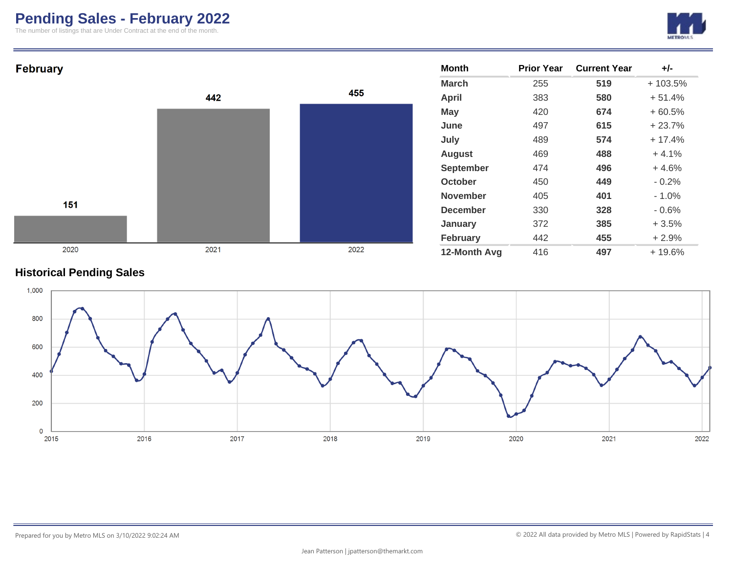# **Pending Sales - February 2022**

The number of listings that are Under Contract at the end of the month.





### **Historical Pending Sales**

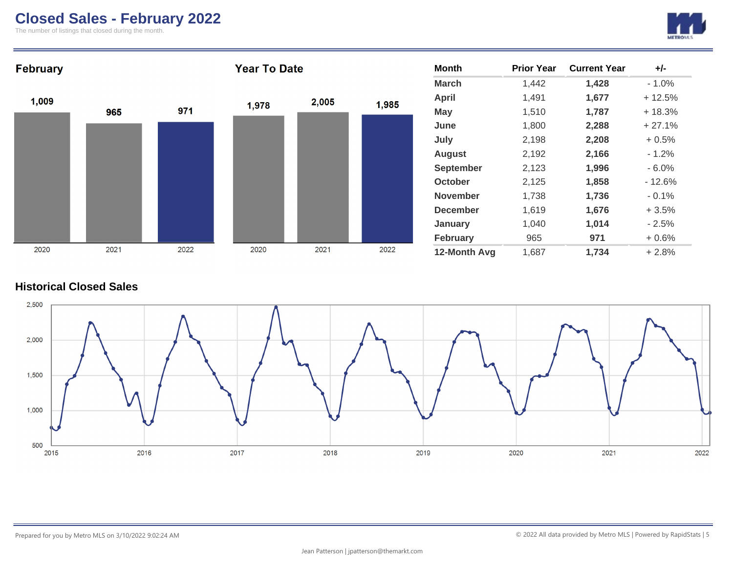## **Closed Sales - February 2022**

The number of listings that closed during the month.





### **Historical Closed Sales**

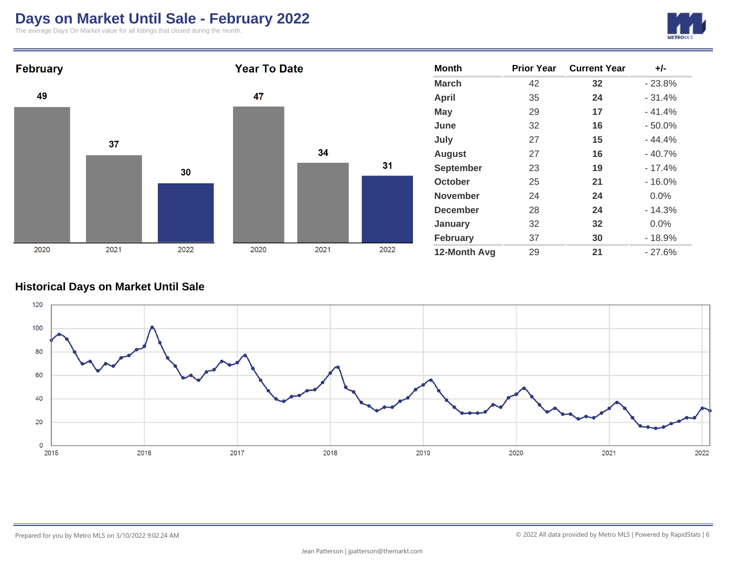# **Days on Market Until Sale - February 2022**

The average Days On Market value for all listings that closed during the month.





### **Historical Days on Market Until Sale**

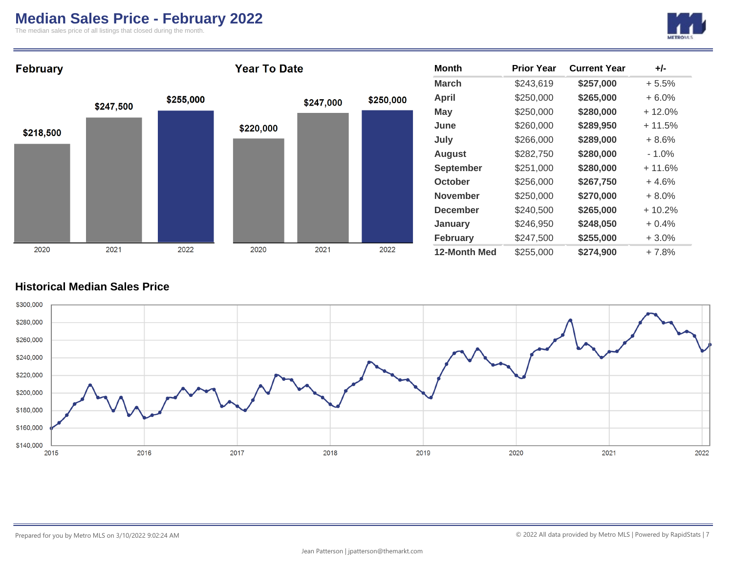### **Median Sales Price - February 2022**

The median sales price of all listings that closed during the month.





### **Historical Median Sales Price**

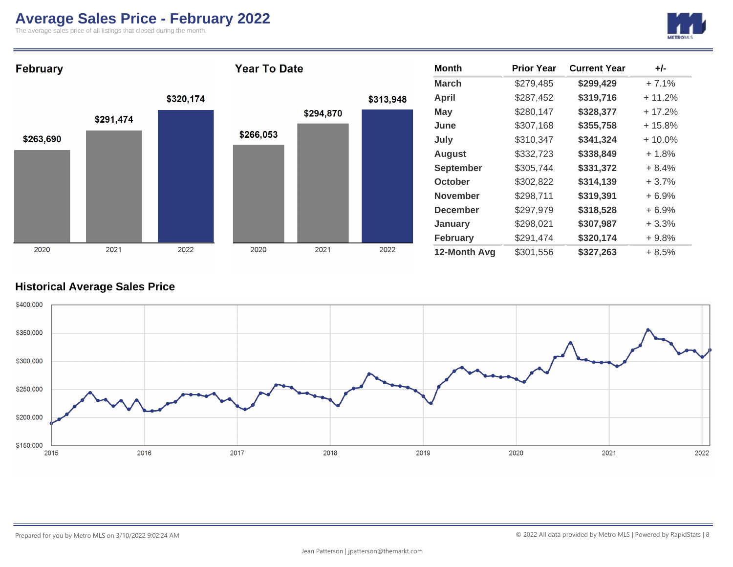## **Average Sales Price - February 2022**

The average sales price of all listings that closed during the month.





### **Historical Average Sales Price**

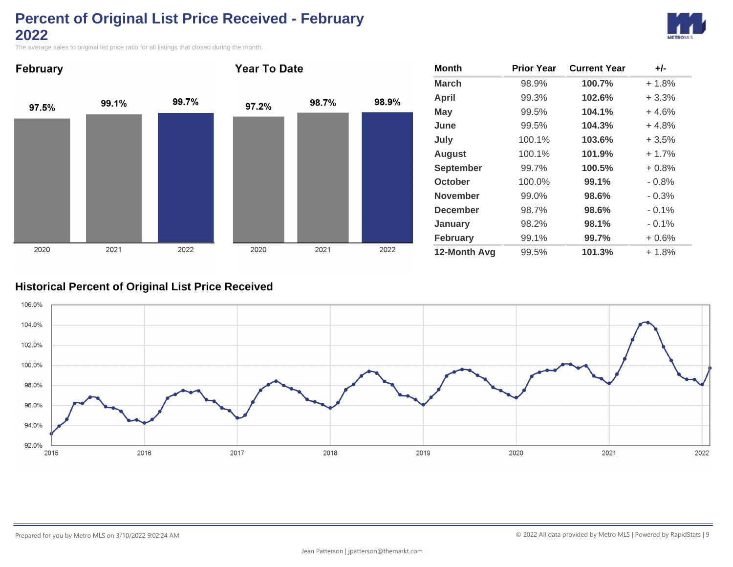# **Percent of Original List Price Received - February 2022**



The average sales to original list price ratio for all listings that closed during the month.



| <b>Month</b>     | <b>Prior Year</b> | <b>Current Year</b> | $+/-$    |
|------------------|-------------------|---------------------|----------|
| <b>March</b>     | 98.9%             | 100.7%              | $+1.8%$  |
| <b>April</b>     | 99.3%             | 102.6%              | $+3.3%$  |
| May              | 99.5%             | 104.1%              | $+4.6%$  |
| June             | 99.5%             | 104.3%              | $+4.8%$  |
| July             | 100.1%            | 103.6%              | $+3.5%$  |
| <b>August</b>    | 100.1%            | 101.9%              | $+1.7%$  |
| <b>September</b> | 99.7%             | 100.5%              | $+0.8%$  |
| October          | 100.0%            | 99.1%               | $-0.8%$  |
| <b>November</b>  | 99.0%             | 98.6%               | $-0.3%$  |
| <b>December</b>  | 98.7%             | 98.6%               | $-0.1%$  |
| January          | 98.2%             | 98.1%               | $-0.1\%$ |
| <b>February</b>  | 99.1%             | 99.7%               | $+0.6%$  |
| 12-Month Avg     | 99.5%             | 101.3%              | $+1.8%$  |

### **Historical Percent of Original List Price Received**

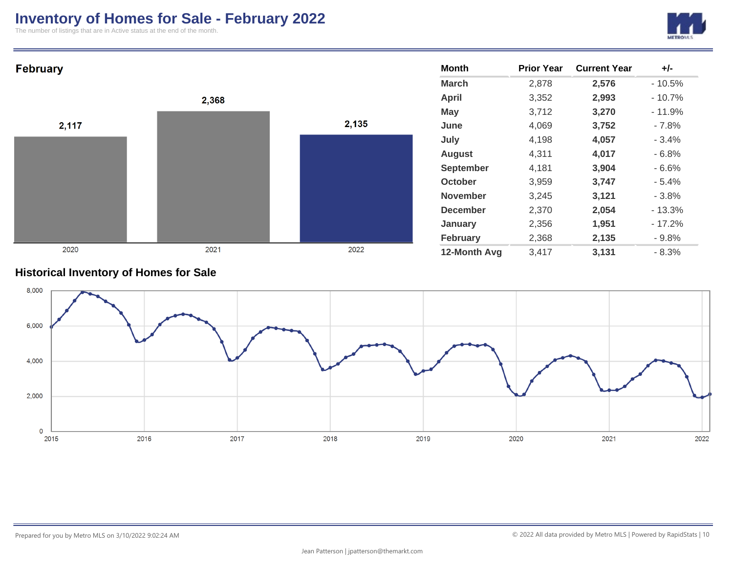## **Inventory of Homes for Sale - February 2022**

The number of listings that are in Active status at the end of the month.





#### **Historical Inventory of Homes for Sale**